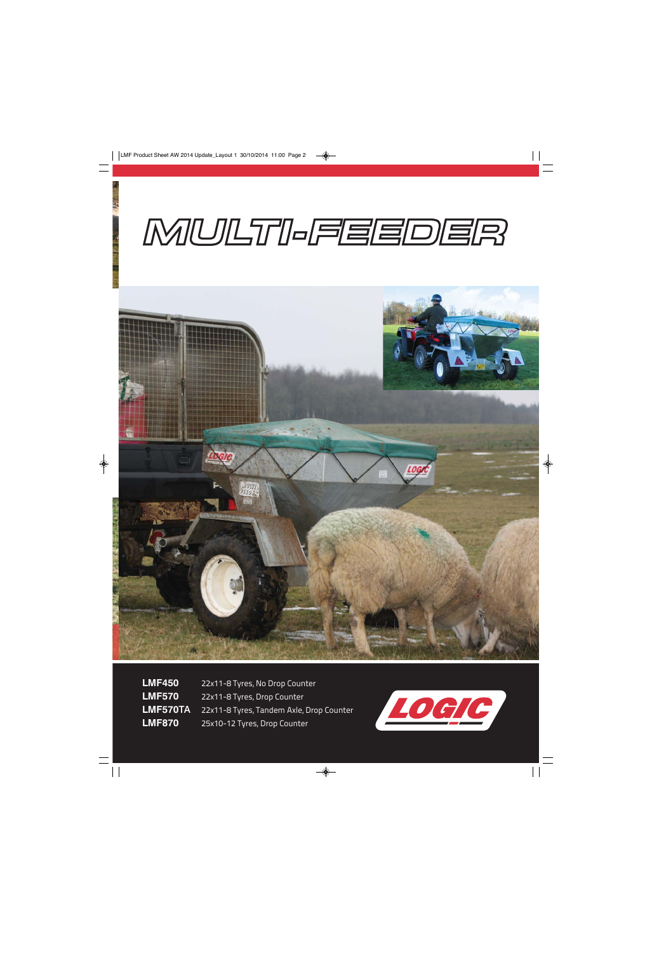## MULTI-FEEDER



**LMF450** 22x11-8 Tyres, No Drop Counter **LMF570** 22x11-8 Tyres, Drop Counter **LMF570**TA 22x11-8 Tyres, Tandem Axle, Drop Counter **LMF870** 25x10-12 Tyres, Drop Counter